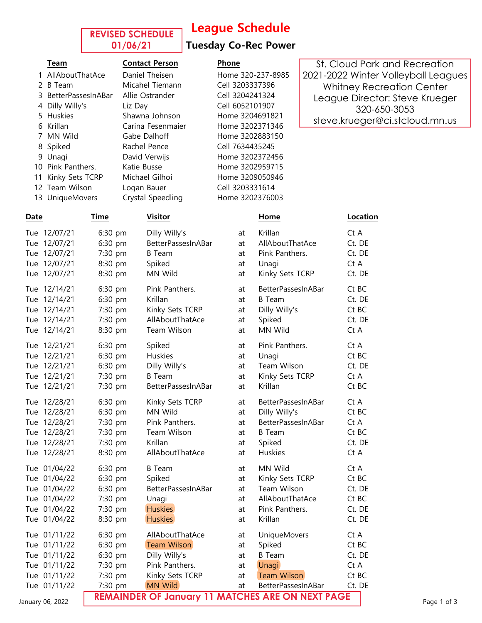### **REVISED SCHEDULE 01/06/21**

## League Schedule

### Tuesday Co-Rec Power

1 AllAboutThatAce Daniel Theisen Home 320-237-8985 2 B Team Micahel Tiemann Cell 3203337396 3 BetterPassesInABar Allie Ostrander Cell 3204241324 4 Dilly Willy's Liz Day Cell 6052101907 5 Huskies Shawna Johnson Home 3204691821 6 Krillan Carina Fesenmaier Home 3202371346 7 MN Wild Gabe Dalhoff Home 3202883150 8 Spiked Rachel Pence Cell 7634435245 9 Unagi David Verwijs Home 3202372456 10 Pink Panthers. Katie Busse Home 3202959715 11 Kinky Sets TCRP Michael Gilhoi Home 3209050946 12 Team Wilson Logan Bauer Cell 3203331614 13 UniqueMovers Crystal Speedling Home 3202376003

### Team Contact Person Phone

St. Cloud Park and Recreation 2021-2022 Winter Volleyball Leagues Whitney Recreation Center League Director: Steve Krueger 320-650-3053 steve.krueger@ci.stcloud.mn.us

| Date             | Time    | <b>Visitor</b>                                          |    | Home                | Location |             |
|------------------|---------|---------------------------------------------------------|----|---------------------|----------|-------------|
| Tue 12/07/21     | 6:30 pm | Dilly Willy's                                           | at | Krillan             | Ct A     |             |
| Tue 12/07/21     | 6:30 pm | BetterPassesInABar                                      | at | AllAboutThatAce     | Ct. DE   |             |
| Tue 12/07/21     | 7:30 pm | <b>B</b> Team                                           | at | Pink Panthers.      | Ct. DE   |             |
| Tue 12/07/21     | 8:30 pm | Spiked                                                  | at | Unagi               | Ct A     |             |
| Tue 12/07/21     | 8:30 pm | MN Wild                                                 | at | Kinky Sets TCRP     | Ct. DE   |             |
| Tue 12/14/21     | 6:30 pm | Pink Panthers.                                          | at | BetterPassesInABar  | Ct BC    |             |
| Tue 12/14/21     | 6:30 pm | Krillan                                                 | at | <b>B</b> Team       | Ct. DE   |             |
| Tue 12/14/21     | 7:30 pm | Kinky Sets TCRP                                         | at | Dilly Willy's       | Ct BC    |             |
| Tue 12/14/21     | 7:30 pm | AllAboutThatAce                                         | at | Spiked              | Ct. DE   |             |
| Tue 12/14/21     | 8:30 pm | Team Wilson                                             | at | MN Wild             | Ct A     |             |
| Tue 12/21/21     | 6:30 pm | Spiked                                                  | at | Pink Panthers.      | Ct A     |             |
| Tue 12/21/21     | 6:30 pm | Huskies                                                 | at | Unagi               | Ct BC    |             |
| Tue 12/21/21     | 6:30 pm | Dilly Willy's                                           | at | Team Wilson         | Ct. DE   |             |
| Tue 12/21/21     | 7:30 pm | <b>B</b> Team                                           | at | Kinky Sets TCRP     | Ct A     |             |
| Tue 12/21/21     | 7:30 pm | BetterPassesInABar                                      | at | Krillan             | Ct BC    |             |
| Tue 12/28/21     | 6:30 pm | Kinky Sets TCRP                                         | at | BetterPassesInABar  | Ct A     |             |
| Tue 12/28/21     | 6:30 pm | MN Wild                                                 | at | Dilly Willy's       | Ct BC    |             |
| Tue 12/28/21     | 7:30 pm | Pink Panthers.                                          | at | BetterPassesInABar  | Ct A     |             |
| Tue 12/28/21     | 7:30 pm | Team Wilson                                             | at | <b>B</b> Team       | Ct BC    |             |
| Tue 12/28/21     | 7:30 pm | Krillan                                                 | at | Spiked              | Ct. DE   |             |
| Tue 12/28/21     | 8:30 pm | AllAboutThatAce                                         | at | Huskies             | Ct A     |             |
| Tue 01/04/22     | 6:30 pm | <b>B</b> Team                                           | at | MN Wild             | Ct A     |             |
| Tue 01/04/22     | 6:30 pm | Spiked                                                  | at | Kinky Sets TCRP     | Ct BC    |             |
| Tue 01/04/22     | 6:30 pm | BetterPassesInABar                                      | at | Team Wilson         | Ct. DE   |             |
| Tue 01/04/22     | 7:30 pm | Unagi                                                   | at | AllAboutThatAce     | Ct BC    |             |
| Tue 01/04/22     | 7:30 pm | <b>Huskies</b>                                          | at | Pink Panthers.      | Ct. DE   |             |
| Tue 01/04/22     | 8:30 pm | <b>Huskies</b>                                          | at | Krillan             | Ct. DE   |             |
| Tue 01/11/22     | 6:30 pm | AllAboutThatAce                                         | at | <b>UniqueMovers</b> | Ct A     |             |
| Tue 01/11/22     | 6:30 pm | <b>Team Wilson</b>                                      | at | Spiked              | Ct BC    |             |
| Tue 01/11/22     | 6:30 pm | Dilly Willy's                                           | at | <b>B</b> Team       | Ct. DE   |             |
| Tue 01/11/22     | 7:30 pm | Pink Panthers.                                          | at | Unagi               | Ct A     |             |
| Tue 01/11/22     | 7:30 pm | Kinky Sets TCRP                                         | at | <b>Team Wilson</b>  | Ct BC    |             |
| Tue 01/11/22     | 7:30 pm | <b>MN Wild</b>                                          | at | BetterPassesInABar  | Ct. DE   |             |
| January 06, 2022 |         | <b>REMAINDER OF January 11 MATCHES ARE ON NEXT PAGE</b> |    |                     |          | Page 1 of 3 |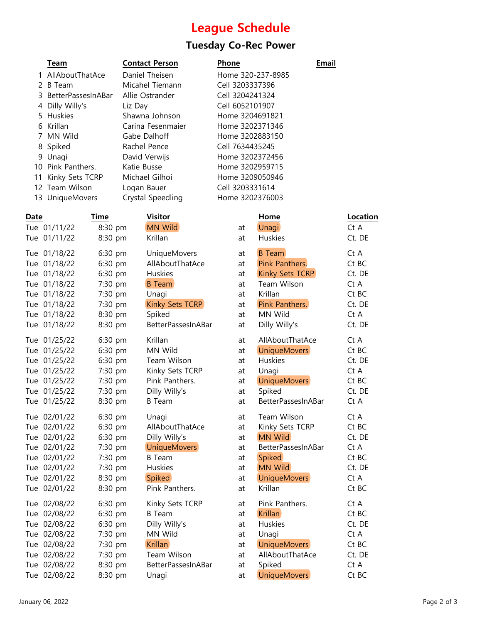# League Schedule

# Tuesday Co-Rec Power

|   | Team                 | <b>Contact Person</b> | <b>Phone</b>      | Email |
|---|----------------------|-----------------------|-------------------|-------|
|   | 1 AllAboutThatAce    | Daniel Theisen        | Home 320-237-8985 |       |
| 2 | B Team               | Micahel Tiemann       | Cell 3203337396   |       |
|   | 3 BetterPassesInABar | Allie Ostrander       | Cell 3204241324   |       |
| 4 | Dilly Willy's        | Liz Dav               | Cell 6052101907   |       |
|   | 5 Huskies            | Shawna Johnson        | Home 3204691821   |       |
|   | 6 Krillan            | Carina Fesenmaier     | Home 3202371346   |       |
|   | 7 MN Wild            | Gabe Dalhoff          | Home 3202883150   |       |
|   | 8 Spiked             | Rachel Pence          | Cell 7634435245   |       |
| 9 | Unagi                | David Verwijs         | Home 3202372456   |       |
|   | 10 Pink Panthers.    | Katie Busse           | Home 3202959715   |       |
|   | 11 Kinky Sets TCRP   | Michael Gilhoi        | Home 3209050946   |       |
|   | 12 Team Wilson       | Logan Bauer           | Cell 3203331614   |       |
|   | 13 UniqueMovers      | Crystal Speedling     | Home 3202376003   |       |
|   |                      |                       |                   |       |

| Date |              | Time    | <b>Visitor</b>      |    | Home                | Location |
|------|--------------|---------|---------------------|----|---------------------|----------|
|      | Tue 01/11/22 | 8:30 pm | <b>MN Wild</b>      | at | <b>Unagi</b>        | Ct A     |
|      | Tue 01/11/22 | 8:30 pm | Krillan             | at | Huskies             | Ct. DE   |
|      | Tue 01/18/22 | 6:30 pm | <b>UniqueMovers</b> | at | <b>B</b> Team       | Ct A     |
|      | Tue 01/18/22 | 6:30 pm | AllAboutThatAce     | at | Pink Panthers.      | Ct BC    |
|      | Tue 01/18/22 | 6:30 pm | Huskies             | at | Kinky Sets TCRP     | Ct. DE   |
|      | Tue 01/18/22 | 7:30 pm | <b>B</b> Team       | at | Team Wilson         | Ct A     |
|      | Tue 01/18/22 | 7:30 pm | Unagi               | at | Krillan             | Ct BC    |
|      | Tue 01/18/22 | 7:30 pm | Kinky Sets TCRP     | at | Pink Panthers.      | Ct. DE   |
|      | Tue 01/18/22 | 8:30 pm | Spiked              | at | MN Wild             | Ct A     |
|      | Tue 01/18/22 | 8:30 pm | BetterPassesInABar  | at | Dilly Willy's       | Ct. DE   |
|      | Tue 01/25/22 | 6:30 pm | Krillan             | at | AllAboutThatAce     | Ct A     |
|      | Tue 01/25/22 | 6:30 pm | MN Wild             | at | <b>UniqueMovers</b> | Ct BC    |
|      | Tue 01/25/22 | 6:30 pm | Team Wilson         | at | Huskies             | Ct. DE   |
|      | Tue 01/25/22 | 7:30 pm | Kinky Sets TCRP     | at | Unagi               | Ct A     |
|      | Tue 01/25/22 | 7:30 pm | Pink Panthers.      | at | <b>UniqueMovers</b> | Ct BC    |
|      | Tue 01/25/22 | 7:30 pm | Dilly Willy's       | at | Spiked              | Ct. DE   |
|      | Tue 01/25/22 | 8:30 pm | <b>B</b> Team       | at | BetterPassesInABar  | Ct A     |
|      | Tue 02/01/22 | 6:30 pm | Unagi               | at | Team Wilson         | Ct A     |
|      | Tue 02/01/22 | 6:30 pm | AllAboutThatAce     | at | Kinky Sets TCRP     | Ct BC    |
|      | Tue 02/01/22 | 6:30 pm | Dilly Willy's       | at | <b>MN Wild</b>      | Ct. DE   |
|      | Tue 02/01/22 | 7:30 pm | <b>UniqueMovers</b> | at | BetterPassesInABar  | Ct A     |
|      | Tue 02/01/22 | 7:30 pm | <b>B</b> Team       | at | <b>Spiked</b>       | Ct BC    |
|      | Tue 02/01/22 | 7:30 pm | Huskies             | at | <b>MN Wild</b>      | Ct. DE   |
|      | Tue 02/01/22 | 8:30 pm | Spiked              | at | <b>UniqueMovers</b> | Ct A     |
|      | Tue 02/01/22 | 8:30 pm | Pink Panthers.      | at | Krillan             | Ct BC    |
|      | Tue 02/08/22 | 6:30 pm | Kinky Sets TCRP     | at | Pink Panthers.      | Ct A     |
|      | Tue 02/08/22 | 6:30 pm | <b>B</b> Team       | at | <b>Krillan</b>      | Ct BC    |
|      | Tue 02/08/22 | 6:30 pm | Dilly Willy's       | at | Huskies             | Ct. DE   |
|      | Tue 02/08/22 | 7:30 pm | MN Wild             | at | Unagi               | Ct A     |
|      | Tue 02/08/22 | 7:30 pm | <b>Krillan</b>      | at | <b>UniqueMovers</b> | Ct BC    |
|      | Tue 02/08/22 | 7:30 pm | Team Wilson         | at | AllAboutThatAce     | Ct. DE   |
|      | Tue 02/08/22 | 8:30 pm | BetterPassesInABar  | at | Spiked              | Ct A     |
|      | Tue 02/08/22 | 8:30 pm | Unagi               | at | <b>UniqueMovers</b> | Ct BC    |